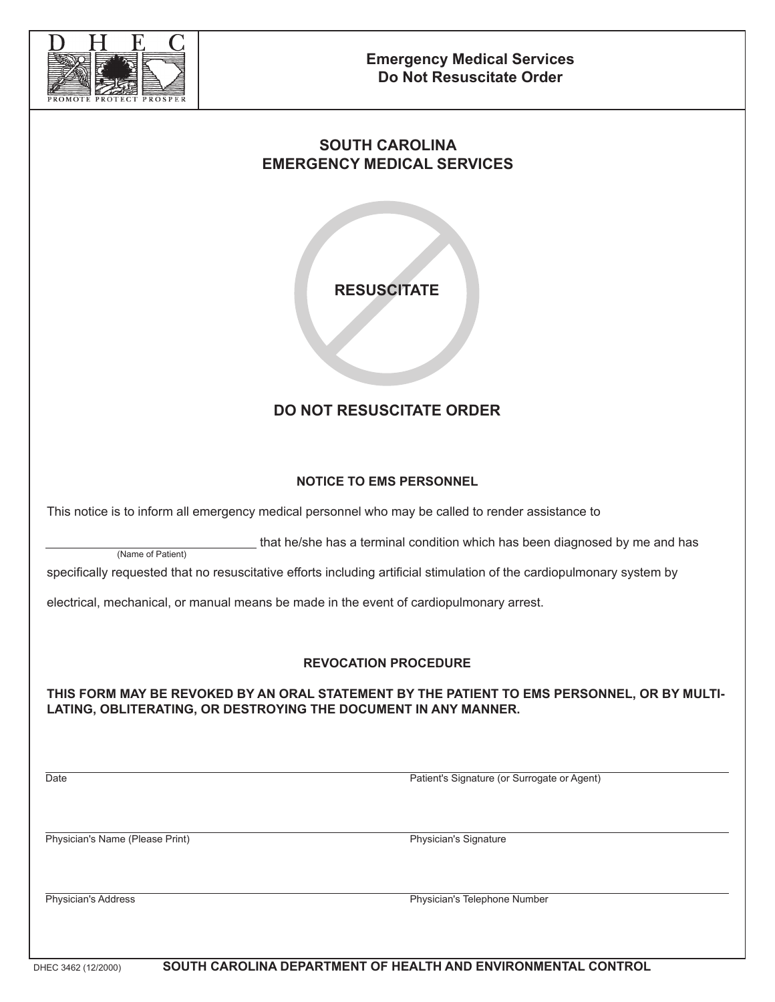

## **SOUTH CAROLINA EMERGENCY MEDICAL SERVICES**

**RESUSCITATE**

# **DO NOT RESUSCITATE ORDER**

### **NOTICE TO EMS PERSONNEL**

This notice is to inform all emergency medical personnel who may be called to render assistance to

that he/she has a terminal condition which has been diagnosed by me and has

specifically requested that no resuscitative efforts including artificial stimulation of the cardiopulmonary system by

electrical, mechanical, or manual means be made in the event of cardiopulmonary arrest.

#### **REVOCATION PROCEDURE**

**THIS FORM MAY BE REVOKED BY AN ORAL STATEMENT BY THE PATIENT TO EMS PERSONNEL, OR BY MULTI-LATING, OBLITERATING, OR DESTROYING THE DOCUMENT IN ANY MANNER.**

Date Patient's Signature (or Surrogate or Agent)

Physician's Name (Please Print) Physician's Signature

(Name of Patient)

Physician's Address Physician's Telephone Number